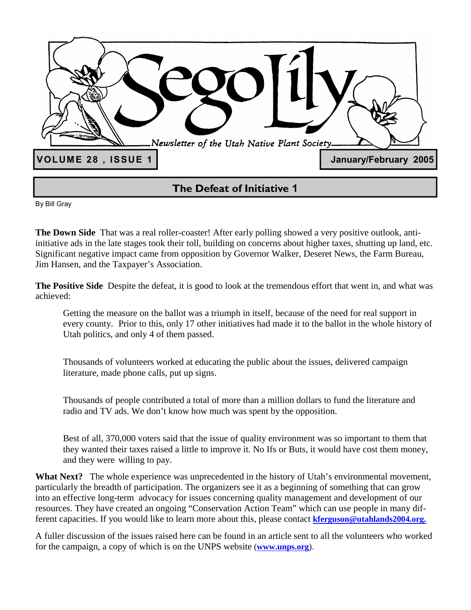

**The Defeat of Initiative 1**

By Bill Gray

**The Down Side** That was a real roller-coaster! After early polling showed a very positive outlook, antiinitiative ads in the late stages took their toll, building on concerns about higher taxes, shutting up land, etc. Significant negative impact came from opposition by Governor Walker, Deseret News, the Farm Bureau, Jim Hansen, and the Taxpayer's Association.

**The Positive Side** Despite the defeat, it is good to look at the tremendous effort that went in, and what was achieved:

 Getting the measure on the ballot was a triumph in itself, because of the need for real support in every county. Prior to this, only 17 other initiatives had made it to the ballot in the whole history of Utah politics, and only 4 of them passed.

 Thousands of volunteers worked at educating the public about the issues, delivered campaign literature, made phone calls, put up signs.

 Thousands of people contributed a total of more than a million dollars to fund the literature and radio and TV ads. We don't know how much was spent by the opposition.

 Best of all, 370,000 voters said that the issue of quality environment was so important to them that they wanted their taxes raised a little to improve it. No Ifs or Buts, it would have cost them money, and they were willing to pay.

What Next? The whole experience was unprecedented in the history of Utah's environmental movement, particularly the breadth of participation. The organizers see it as a beginning of something that can grow into an effective long-term advocacy for issues concerning quality management and development of our resources. They have created an ongoing "Conservation Action Team" which can use people in many different capacities. If you would like to learn more about this, please contact **kferguson@utahlands2004.org.**

A fuller discussion of the issues raised here can be found in an article sent to all the volunteers who worked for the campaign, a copy of which is on the UNPS website (**www.unps.org**).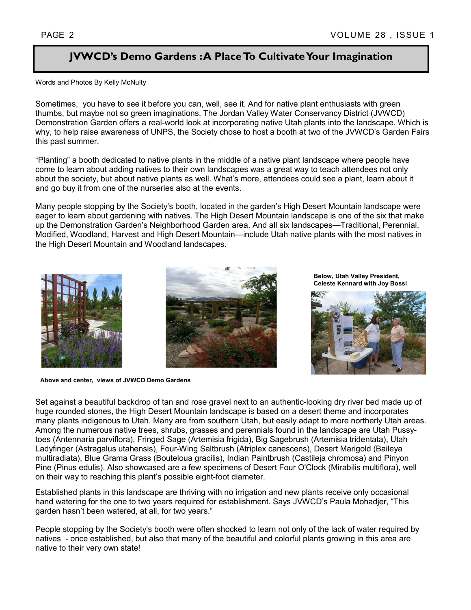# **JVWCD's Demo Gardens : A Place To Cultivate Your Imagination**

Words and Photos By Kelly McNulty

Sometimes, you have to see it before you can, well, see it. And for native plant enthusiasts with green thumbs, but maybe not so green imaginations, The Jordan Valley Water Conservancy District (JVWCD) Demonstration Garden offers a real-world look at incorporating native Utah plants into the landscape. Which is why, to help raise awareness of UNPS, the Society chose to host a booth at two of the JVWCD's Garden Fairs this past summer.

"Planting" a booth dedicated to native plants in the middle of a native plant landscape where people have come to learn about adding natives to their own landscapes was a great way to teach attendees not only about the society, but about native plants as well. What's more, attendees could see a plant, learn about it and go buy it from one of the nurseries also at the events.

Many people stopping by the Society's booth, located in the garden's High Desert Mountain landscape were eager to learn about gardening with natives. The High Desert Mountain landscape is one of the six that make up the Demonstration Garden's Neighborhood Garden area. And all six landscapes—Traditional, Perennial, Modified, Woodland, Harvest and High Desert Mountain—include Utah native plants with the most natives in the High Desert Mountain and Woodland landscapes.



**Above and center, views of JVWCD Demo Gardens** 



**Below, Utah Valley President, Celeste Kennard with Joy Bossi** 



Set against a beautiful backdrop of tan and rose gravel next to an authentic-looking dry river bed made up of huge rounded stones, the High Desert Mountain landscape is based on a desert theme and incorporates many plants indigenous to Utah. Many are from southern Utah, but easily adapt to more northerly Utah areas. Among the numerous native trees, shrubs, grasses and perennials found in the landscape are Utah Pussytoes (Antennaria parviflora), Fringed Sage (Artemisia frigida), Big Sagebrush (Artemisia tridentata), Utah Ladyfinger (Astragalus utahensis), Four-Wing Saltbrush (Atriplex canescens), Desert Marigold (Baileya multiradiata), Blue Grama Grass (Bouteloua gracilis), Indian Paintbrush (Castileja chromosa) and Pinyon Pine (Pinus edulis). Also showcased are a few specimens of Desert Four O'Clock (Mirabilis multiflora), well on their way to reaching this plant's possible eight-foot diameter.

Established plants in this landscape are thriving with no irrigation and new plants receive only occasional hand watering for the one to two years required for establishment. Says JVWCD's Paula Mohadjer, "This garden hasn't been watered, at all, for two years."

People stopping by the Society's booth were often shocked to learn not only of the lack of water required by natives - once established, but also that many of the beautiful and colorful plants growing in this area are native to their very own state!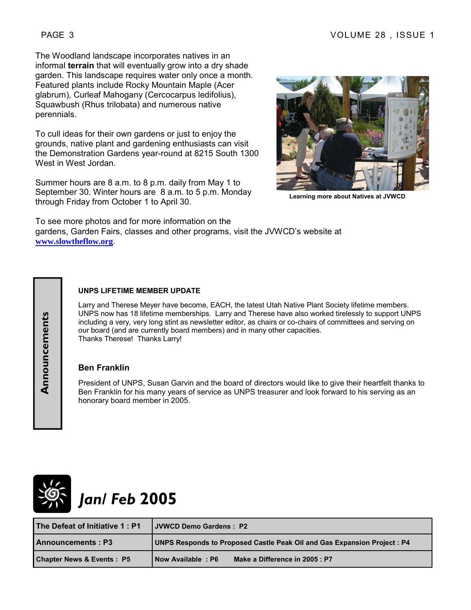The Woodland landscape incorporates natives in an informal **terrain** that will eventually grow into a dry shade garden. This landscape requires water only once a month. Featured plants include Rocky Mountain Maple (Acer glabrum), Curleaf Mahogany (Cercocarpus ledifolius), Squawbush (Rhus trilobata) and numerous native perennials.

To cull ideas for their own gardens or just to enjoy the grounds, native plant and gardening enthusiasts can visit the Demonstration Gardens year-round at 8215 South 1300 West in West Jordan.

Summer hours are 8 a.m. to 8 p.m. daily from May 1 to September 30. Winter hours are 8 a.m. to 5 p.m. Monday through Friday from October 1 to April 30.



**Learning more about Natives at JVWCD** 

To see more photos and for more information on the gardens, Garden Fairs, classes and other programs, visit the JVWCD's website at **www.slowtheflow.org**.

# **UNPS LIFETIME MEMBER UPDATE**

Larry and Therese Meyer have become, EACH, the latest Utah Native Plant Society lifetime members. UNPS now has 18 lifetime memberships. Larry and Therese have also worked tirelessly to support UNPS including a very, very long stint as newsletter editor, as chairs or co-chairs of committees and serving on our board (and are currently board members) and in many other capacities. Thanks Therese! Thanks Larry!

#### **Ben Franklin**

President of UNPS, Susan Garvin and the board of directors would like to give their heartfelt thanks to Ben Franklin for his many years of service as UNPS treasurer and look forward to his serving as an honorary board member in 2005.



**Announcements** 

Announcements

# *Jan/ Feb* **2005**

| The Defeat of Initiative 1: P1       | <b>I JVWCD Demo Gardens: P2</b>                                          |  |
|--------------------------------------|--------------------------------------------------------------------------|--|
| <b>Announcements: P3</b>             | UNPS Responds to Proposed Castle Peak Oil and Gas Expansion Project : P4 |  |
| <b>Chapter News &amp; Events: P5</b> | Make a Difference in 2005 : P7<br>Now Available: P6                      |  |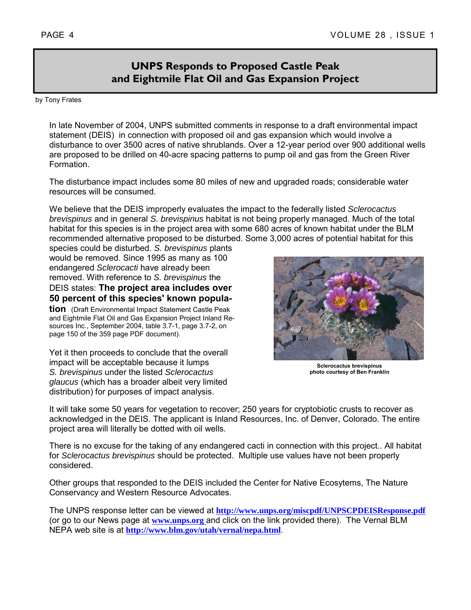# **UNPS Responds to Proposed Castle Peak and Eightmile Flat Oil and Gas Expansion Project**

by Tony Frates

In late November of 2004, UNPS submitted comments in response to a draft environmental impact statement (DEIS) in connection with proposed oil and gas expansion which would involve a disturbance to over 3500 acres of native shrublands. Over a 12-year period over 900 additional wells are proposed to be drilled on 40-acre spacing patterns to pump oil and gas from the Green River Formation.

The disturbance impact includes some 80 miles of new and upgraded roads; considerable water resources will be consumed.

We believe that the DEIS improperly evaluates the impact to the federally listed *Sclerocactus brevispinus* and in general *S. brevispinus* habitat is not being properly managed. Much of the total habitat for this species is in the project area with some 680 acres of known habitat under the BLM recommended alternative proposed to be disturbed. Some 3,000 acres of potential habitat for this

species could be disturbed. *S. brevispinus* plants would be removed. Since 1995 as many as 100 endangered *Sclerocacti* have already been removed. With reference to *S. brevispinus* the DEIS states: **The project area includes over 50 percent of this species' known popula-**

**tion** (Draft Environmental Impact Statement Castle Peak and Eightmile Flat Oil and Gas Expansion Project Inland Resources Inc., September 2004, table 3.7-1, page 3.7-2, on page 150 of the 359 page PDF document).

Yet it then proceeds to conclude that the overall impact will be acceptable because it lumps *S. brevispinus* under the listed *Sclerocactus glaucus* (which has a broader albeit very limited distribution) for purposes of impact analysis.



**Sclerocactus brevispinus photo courtesy of Ben Franklin** 

It will take some 50 years for vegetation to recover; 250 years for cryptobiotic crusts to recover as acknowledged in the DEIS. The applicant is Inland Resources, Inc. of Denver, Colorado. The entire project area will literally be dotted with oil wells.

There is no excuse for the taking of any endangered cacti in connection with this project.. All habitat for *Sclerocactus brevispinus* should be protected. Multiple use values have not been properly considered.

Other groups that responded to the DEIS included the Center for Native Ecosytems, The Nature Conservancy and Western Resource Advocates.

The UNPS response letter can be viewed at **http://www.unps.org/miscpdf/UNPSCPDEISResponse.pdf**  (or go to our News page at **www.unps.org** and click on the link provided there). The Vernal BLM NEPA web site is at **http://www.blm.gov/utah/vernal/nepa.html**.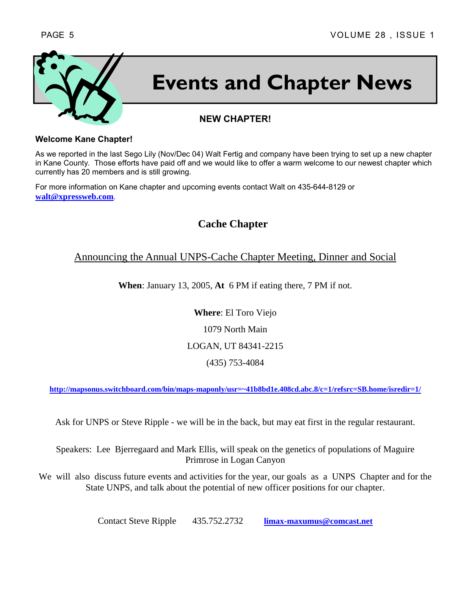

# **Events and Chapter News**

# **NEW CHAPTER!**

#### **Welcome Kane Chapter!**

As we reported in the last Sego Lily (Nov/Dec 04) Walt Fertig and company have been trying to set up a new chapter in Kane County. Those efforts have paid off and we would like to offer a warm welcome to our newest chapter which currently has 20 members and is still growing.

For more information on Kane chapter and upcoming events contact Walt on 435-644-8129 or **walt@xpressweb.com**.

**Cache Chapter** 

# Announcing the Annual UNPS-Cache Chapter Meeting, Dinner and Social

**When**: January 13, 2005, **At** 6 PM if eating there, 7 PM if not.

**Where**: El Toro Viejo 1079 North Main LOGAN, UT 84341-2215 (435) 753-4084

**http://mapsonus.switchboard.com/bin/maps-maponly/usr=~41b8bd1e.408cd.abc.8/c=1/refsrc=SB.home/isredir=1/**

Ask for UNPS or Steve Ripple - we will be in the back, but may eat first in the regular restaurant.

Speakers: Lee Bjerregaard and Mark Ellis, will speak on the genetics of populations of Maguire Primrose in Logan Canyon

We will also discuss future events and activities for the year, our goals as a UNPS Chapter and for the State UNPS, and talk about the potential of new officer positions for our chapter.

Contact Steve Ripple 435.752.2732 **limax-maxumus@comcast.net**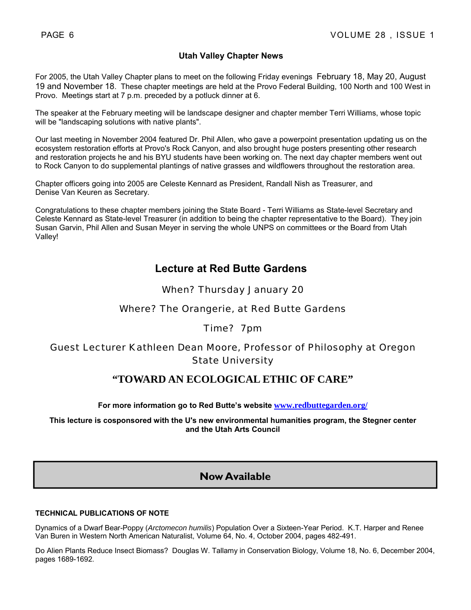#### **Utah Valley Chapter News**

For 2005, the Utah Valley Chapter plans to meet on the following Friday evenings February 18, May 20, August 19 and November 18. These chapter meetings are held at the Provo Federal Building, 100 North and 100 West in Provo. Meetings start at 7 p.m. preceded by a potluck dinner at 6.

The speaker at the February meeting will be landscape designer and chapter member Terri Williams, whose topic will be "landscaping solutions with native plants".

Our last meeting in November 2004 featured Dr. Phil Allen, who gave a powerpoint presentation updating us on the ecosystem restoration efforts at Provo's Rock Canyon, and also brought huge posters presenting other research and restoration projects he and his BYU students have been working on. The next day chapter members went out to Rock Canyon to do supplemental plantings of native grasses and wildflowers throughout the restoration area.

Chapter officers going into 2005 are Celeste Kennard as President, Randall Nish as Treasurer, and Denise Van Keuren as Secretary.

Congratulations to these chapter members joining the State Board - Terri Williams as State-level Secretary and Celeste Kennard as State-level Treasurer (in addition to being the chapter representative to the Board). They join Susan Garvin, Phil Allen and Susan Meyer in serving the whole UNPS on committees or the Board from Utah Valley!

# **Lecture at Red Butte Gardens**

#### When? Thursday January 20

## Where? The Orangerie, at Red Butte Gardens

## Time? 7pm

# Guest Lecturer Kathleen Dean Moore, Professor of Philosophy at Oregon State University

# **"TOWARD AN ECOLOGICAL ETHIC OF CARE"**

**For more information go to Red Butte's website www.redbuttegarden.org/** 

**This lecture is cosponsored with the U's new environmental humanities program, the Stegner center and the Utah Arts Council**

# **Now Available**

#### **TECHNICAL PUBLICATIONS OF NOTE**

Dynamics of a Dwarf Bear-Poppy (*Arctomecon humilis*) Population Over a Sixteen-Year Period. K.T. Harper and Renee Van Buren in Western North American Naturalist, Volume 64, No. 4, October 2004, pages 482-491.

Do Alien Plants Reduce Insect Biomass? Douglas W. Tallamy in Conservation Biology, Volume 18, No. 6, December 2004, pages 1689-1692.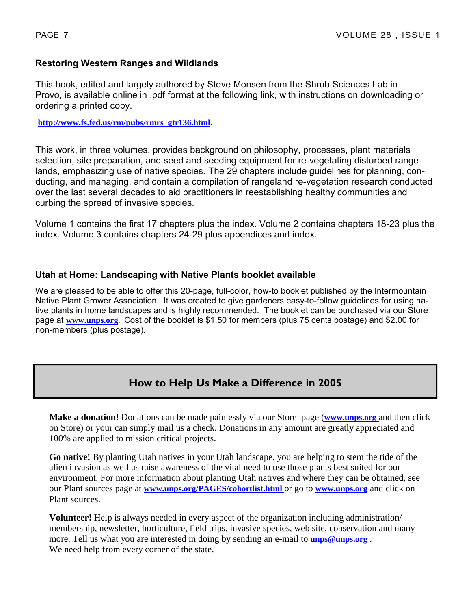# **Restoring Western Ranges and Wildlands**

This book, edited and largely authored by Steve Monsen from the Shrub Sciences Lab in Provo, is available online in .pdf format at the following link, with instructions on downloading or ordering a printed copy.

**http://www.fs.fed.us/rm/pubs/rmrs\_gtr136.html**.

This work, in three volumes, provides background on philosophy, processes, plant materials selection, site preparation, and seed and seeding equipment for re-vegetating disturbed rangelands, emphasizing use of native species. The 29 chapters include guidelines for planning, conducting, and managing, and contain a compilation of rangeland re-vegetation research conducted over the last several decades to aid practitioners in reestablishing healthy communities and curbing the spread of invasive species.

Volume 1 contains the first 17 chapters plus the index. Volume 2 contains chapters 18-23 plus the index. Volume 3 contains chapters 24-29 plus appendices and index.

## **Utah at Home: Landscaping with Native Plants booklet available**

We are pleased to be able to offer this 20-page, full-color, how-to booklet published by the Intermountain Native Plant Grower Association. It was created to give gardeners easy-to-follow guidelines for using native plants in home landscapes and is highly recommended. The booklet can be purchased via our Store page at **www.unps.org**. Cost of the booklet is \$1.50 for members (plus 75 cents postage) and \$2.00 for non-members (plus postage).

# **How to Help Us Make a Difference in 2005**

**Make a donation!** Donations can be made painlessly via our Store page (**www.unps.org** and then click on Store) or your can simply mail us a check. Donations in any amount are greatly appreciated and 100% are applied to mission critical projects.

**Go native!** By planting Utah natives in your Utah landscape, you are helping to stem the tide of the alien invasion as well as raise awareness of the vital need to use those plants best suited for our environment. For more information about planting Utah natives and where they can be obtained, see our Plant sources page at **www.unps.org/PAGES/cohortlist.html** or go to **www.unps.org** and click on Plant sources.

**Volunteer!** Help is always needed in every aspect of the organization including administration/ membership, newsletter, horticulture, field trips, invasive species, web site, conservation and many more. Tell us what you are interested in doing by sending an e-mail to **unps@unps.org** . We need help from every corner of the state.